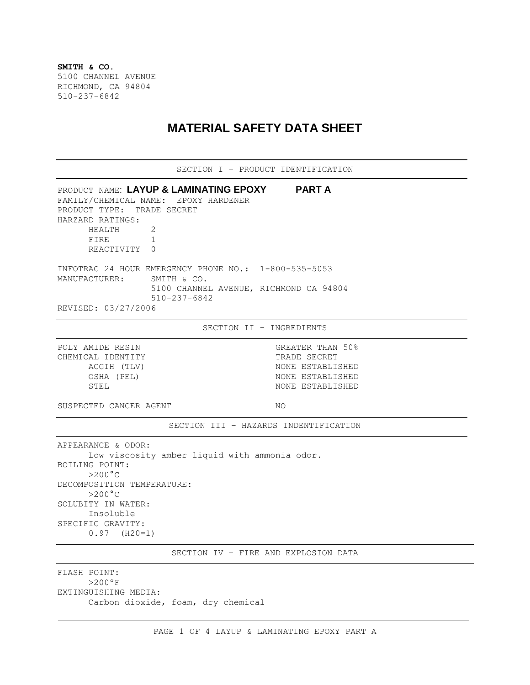**SMITH & CO.** 5100 CHANNEL AVENUE RICHMOND, CA 94804 510-237-6842

## **MATERIAL SAFETY DATA SHEET**

| SECTION I - PRODUCT IDENTIFICATION                                                                                                                                                                                                    |                                                                                              |
|---------------------------------------------------------------------------------------------------------------------------------------------------------------------------------------------------------------------------------------|----------------------------------------------------------------------------------------------|
| PRODUCT NAME: LAYUP & LAMINATING EPOXY PART A<br>FAMILY/CHEMICAL NAME: EPOXY HARDENER<br>PRODUCT TYPE: TRADE SECRET<br>HARZARD RATINGS:<br>HEALTH<br>2<br>FIRE<br>$\mathbf{1}$<br>REACTIVITY 0                                        |                                                                                              |
| INFOTRAC 24 HOUR EMERGENCY PHONE NO.: 1-800-535-5053<br>MANUFACTURER: SMITH & CO.<br>$510 - 237 - 6842$<br>REVISED: 03/27/2006                                                                                                        | 5100 CHANNEL AVENUE, RICHMOND CA 94804                                                       |
|                                                                                                                                                                                                                                       | SECTION II - INGREDIENTS                                                                     |
| POLY AMIDE RESIN<br>CHEMICAL IDENTITY<br>ACGIH (TLV)<br>OSHA (PEL)<br>STEL                                                                                                                                                            | GREATER THAN 50%<br>TRADE SECRET<br>NONE ESTABLISHED<br>NONE ESTABLISHED<br>NONE ESTABLISHED |
| SUSPECTED CANCER AGENT                                                                                                                                                                                                                | NO.                                                                                          |
|                                                                                                                                                                                                                                       | SECTION III - HAZARDS INDENTIFICATION                                                        |
| APPEARANCE & ODOR:<br>Low viscosity amber liquid with ammonia odor.<br>BOILING POINT:<br>$>200^{\circ}$ C<br>DECOMPOSITION TEMPERATURE:<br>$>200^{\circ}$ C<br>SOLUBITY IN WATER:<br>Insoluble<br>SPECIFIC GRAVITY:<br>$0.97$ (H20=1) |                                                                                              |
|                                                                                                                                                                                                                                       | SECTION IV - FIRE AND EXPLOSION DATA                                                         |
| FLASH POINT:<br>$>200°$ F<br>EXTINGUISHING MEDIA:                                                                                                                                                                                     |                                                                                              |

Carbon dioxide, foam, dry chemical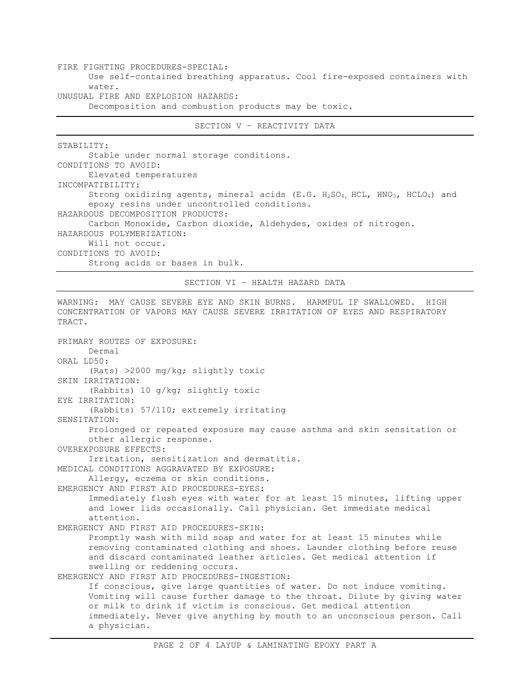FIRE FIGHTING PROCEDURES-SPECIAL: Use self-contained breathing apparatus. Cool fire-exposed containers with water. UNUSUAL FIRE AND EXPLOSION HAZARDS:

Decomposition and combustion products may be toxic.

SECTION V – REACTIVITY DATA

STABILITY:

Stable under normal storage conditions. CONDITIONS TO AVOID: Elevated temperatures INCOMPATIBILITY: Strong oxidizing agents, mineral acids (E.G. H<sub>2</sub>SO<sub>4</sub>, HCL, HNO<sub>3</sub>, HCLO<sub>4</sub>) and epoxy resins under uncontrolled conditions. HAZARDOUS DECOMPOSITION PRODUCTS: Carbon Monoxide, Carbon dioxide, Aldehydes, oxides of nitrogen. HAZARDOUS POLYMERIZATION: Will not occur. CONDITIONS TO AVOID: Strong acids or bases in bulk.

SECTION VI – HEALTH HAZARD DATA

WARNING: MAY CAUSE SEVERE EYE AND SKIN BURNS. HARMFUL IF SWALLOWED. HIGH

CONCENTRATION OF VAPORS MAY CAUSE SEVERE IRRITATION OF EYES AND RESPIRATORY TRACT. PRIMARY ROUTES OF EXPOSURE: Dermal ORAL LD50: (Rats) >2000 mg/kg; slightly toxic SKIN IRRITATION: (Rabbits) 10 g/kg; slightly toxic EYE IRRITATION: (Rabbits) 57/110; extremely irritating SENSITATION: Prolonged or repeated exposure may cause asthma and skin sensitation or other allergic response. OVEREXPOSURE EFFECTS: Irritation, sensitization and dermatitis. MEDICAL CONDITIONS AGGRAVATED BY EXPOSURE: Allergy, eczema or skin conditions. EMERGENCY AND FIRST AID PROCEDURES-EYES: Immediately flush eyes with water for at least 15 minutes, lifting upper and lower lids occasionally. Call physician. Get immediate medical attention. EMERGENCY AND FIRST AID PROCEDURES-SKIN: Promptly wash with mild soap and water for at least 15 minutes while removing contaminated clothing and shoes. Launder clothing before reuse and discard contaminated leather articles. Get medical attention if swelling or reddening occurs. EMERGENCY AND FIRST AID PROCEDURES-INGESTION: If conscious, give large quantities of water. Do not induce vomiting. Vomiting will cause further damage to the throat. Dilute by giving water or milk to drink if victim is conscious. Get medical attention immediately. Never give anything by mouth to an unconscious person. Call a physician.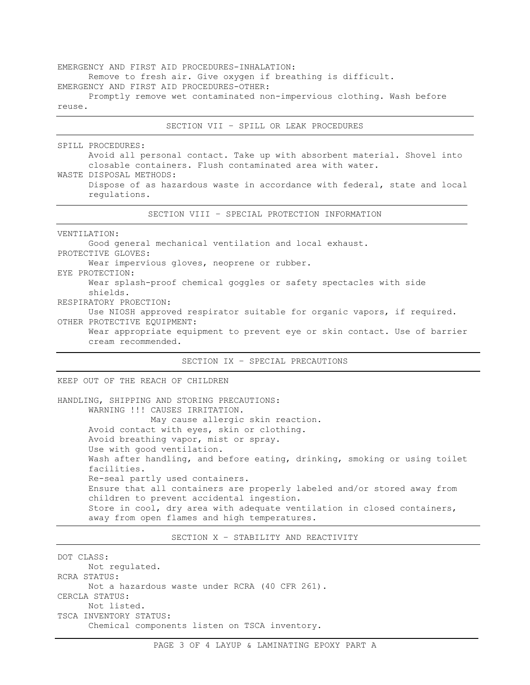EMERGENCY AND FIRST AID PROCEDURES-INHALATION: Remove to fresh air. Give oxygen if breathing is difficult. EMERGENCY AND FIRST AID PROCEDURES-OTHER: Promptly remove wet contaminated non-impervious clothing. Wash before reuse.

SECTION VII – SPILL OR LEAK PROCEDURES SPILL PROCEDURES: Avoid all personal contact. Take up with absorbent material. Shovel into closable containers. Flush contaminated area with water. WASTE DISPOSAL METHODS: Dispose of as hazardous waste in accordance with federal, state and local regulations. SECTION VIII – SPECIAL PROTECTION INFORMATION VENTILATION: Good general mechanical ventilation and local exhaust. PROTECTIVE GLOVES: Wear impervious gloves, neoprene or rubber. EYE PROTECTION: Wear splash-proof chemical goggles or safety spectacles with side shields. RESPIRATORY PROECTION: Use NIOSH approved respirator suitable for organic vapors, if required. OTHER PROTECTIVE EQUIPMENT: Wear appropriate equipment to prevent eye or skin contact. Use of barrier cream recommended. SECTION IX – SPECIAL PRECAUTIONS KEEP OUT OF THE REACH OF CHILDREN HANDLING, SHIPPING AND STORING PRECAUTIONS: WARNING !!! CAUSES IRRITATION. May cause allergic skin reaction. Avoid contact with eyes, skin or clothing. Avoid breathing vapor, mist or spray. Use with good ventilation. Wash after handling, and before eating, drinking, smoking or using toilet facilities.

Re-seal partly used containers. Ensure that all containers are properly labeled and/or stored away from children to prevent accidental ingestion. Store in cool, dry area with adequate ventilation in closed containers, away from open flames and high temperatures.

SECTION X – STABILITY AND REACTIVITY

DOT CLASS: Not regulated. RCRA STATUS: Not a hazardous waste under RCRA (40 CFR 261). CERCLA STATUS: Not listed. TSCA INVENTORY STATUS: Chemical components listen on TSCA inventory.